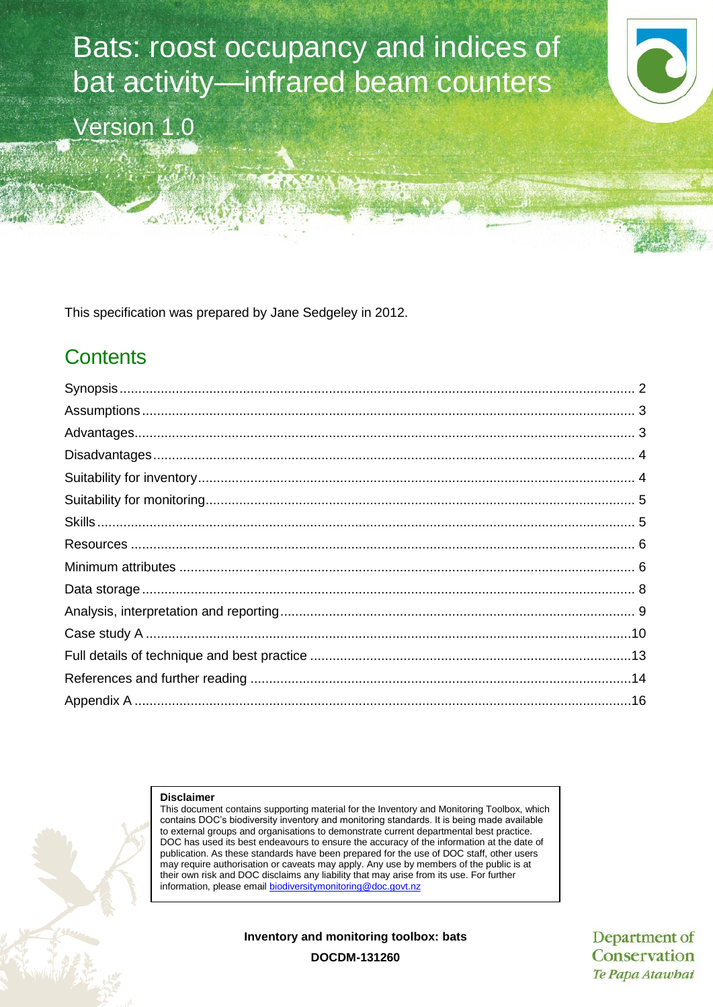Bats: roost occupancy and indices of bat activity—infrared beam counters Version 1.0

This specification was prepared by Jane Sedgeley in 2012.

## **Contents**

#### **Disclaimer**

This document contains supporting material for the Inventory and Monitoring Toolbox, which contains DOC's biodiversity inventory and monitoring standards. It is being made available to external groups and organisations to demonstrate current departmental best practice. DOC has used its best endeavours to ensure the accuracy of the information at the date of publication. As these standards have been prepared for the use of DOC staff, other users may require authorisation or caveats may apply. Any use by members of the public is at their own risk and DOC disclaims any liability that may arise from its use. For further information, please email [biodiversitymonitoring@doc.govt.nz](mailto:biodiversitymonitoring@doc.govt.nz)

**Inventory and monitoring toolbox: bats**

Department of Conservation Te Papa Atawhai

**DOCDM-131260**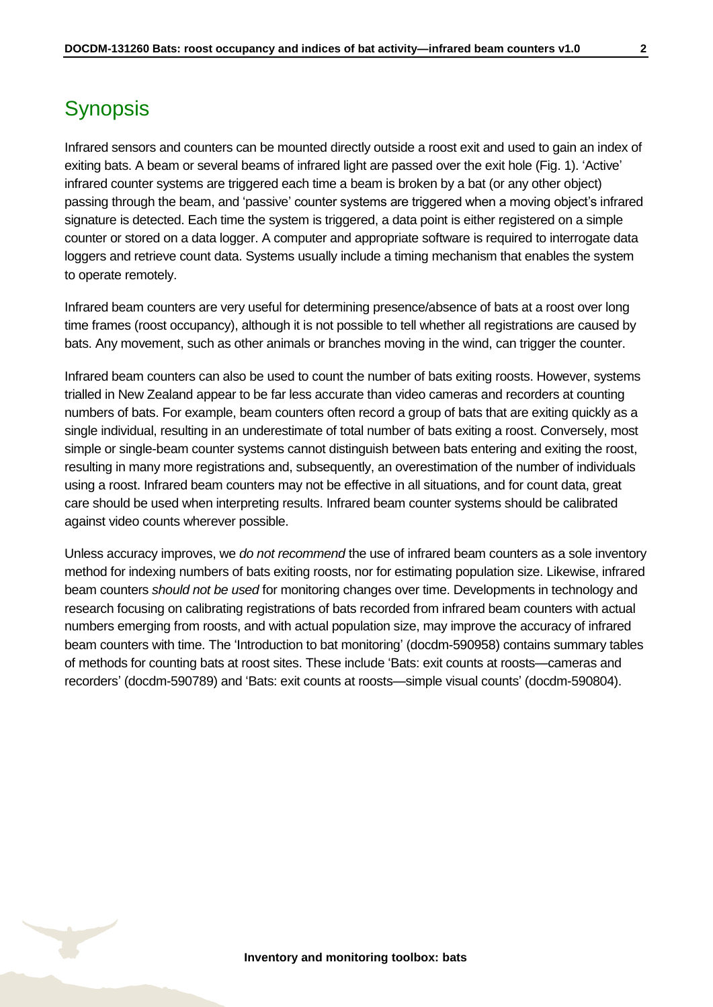# <span id="page-1-0"></span>**Synopsis**

Infrared sensors and counters can be mounted directly outside a roost exit and used to gain an index of exiting bats. A beam or several beams of infrared light are passed over the exit hole (Fig. 1). 'Active' infrared counter systems are triggered each time a beam is broken by a bat (or any other object) passing through the beam, and 'passive' counter systems are triggered when a moving object's infrared signature is detected. Each time the system is triggered, a data point is either registered on a simple counter or stored on a data logger. A computer and appropriate software is required to interrogate data loggers and retrieve count data. Systems usually include a timing mechanism that enables the system to operate remotely.

Infrared beam counters are very useful for determining presence/absence of bats at a roost over long time frames (roost occupancy), although it is not possible to tell whether all registrations are caused by bats. Any movement, such as other animals or branches moving in the wind, can trigger the counter.

Infrared beam counters can also be used to count the number of bats exiting roosts. However, systems trialled in New Zealand appear to be far less accurate than video cameras and recorders at counting numbers of bats. For example, beam counters often record a group of bats that are exiting quickly as a single individual, resulting in an underestimate of total number of bats exiting a roost. Conversely, most simple or single-beam counter systems cannot distinguish between bats entering and exiting the roost, resulting in many more registrations and, subsequently, an overestimation of the number of individuals using a roost. Infrared beam counters may not be effective in all situations, and for count data, great care should be used when interpreting results. Infrared beam counter systems should be calibrated against video counts wherever possible.

Unless accuracy improves, we *do not recommend* the use of infrared beam counters as a sole inventory method for indexing numbers of bats exiting roosts, nor for estimating population size. Likewise, infrared beam counters *should not be used* for monitoring changes over time. Developments in technology and research focusing on calibrating registrations of bats recorded from infrared beam counters with actual numbers emerging from roosts, and with actual population size, may improve the accuracy of infrared beam counters with time. The 'Introduction to bat monitoring' (docdm-590958) contains summary tables of methods for counting bats at roost sites. These include 'Bats: exit counts at roosts—cameras and recorders' (docdm-590789) and 'Bats: exit counts at roosts—simple visual counts' (docdm-590804).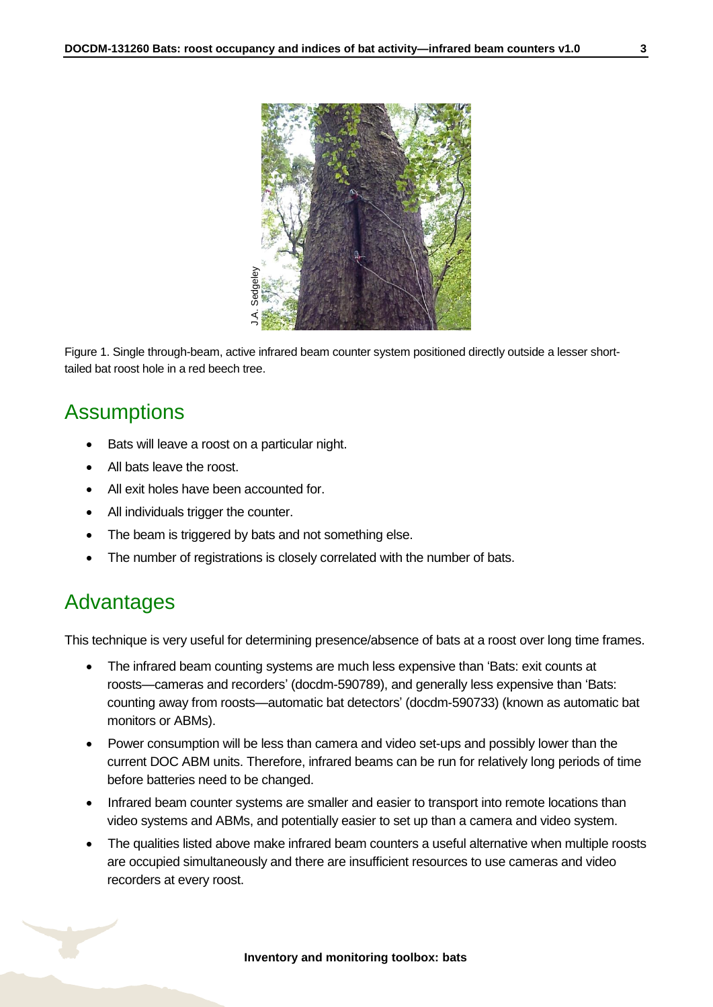

Figure 1. Single through-beam, active infrared beam counter system positioned directly outside a lesser shorttailed bat roost hole in a red beech tree.

### <span id="page-2-0"></span>**Assumptions**

- Bats will leave a roost on a particular night.
- All bats leave the roost.
- All exit holes have been accounted for.
- All individuals trigger the counter.
- The beam is triggered by bats and not something else.
- The number of registrations is closely correlated with the number of bats.

### <span id="page-2-1"></span>Advantages

This technique is very useful for determining presence/absence of bats at a roost over long time frames.

- The infrared beam counting systems are much less expensive than 'Bats: exit counts at roosts—cameras and recorders' (docdm-590789), and generally less expensive than 'Bats: counting away from roosts—automatic bat detectors' (docdm-590733) (known as automatic bat monitors or ABMs).
- Power consumption will be less than camera and video set-ups and possibly lower than the current DOC ABM units. Therefore, infrared beams can be run for relatively long periods of time before batteries need to be changed.
- Infrared beam counter systems are smaller and easier to transport into remote locations than video systems and ABMs, and potentially easier to set up than a camera and video system.
- The qualities listed above make infrared beam counters a useful alternative when multiple roosts are occupied simultaneously and there are insufficient resources to use cameras and video recorders at every roost.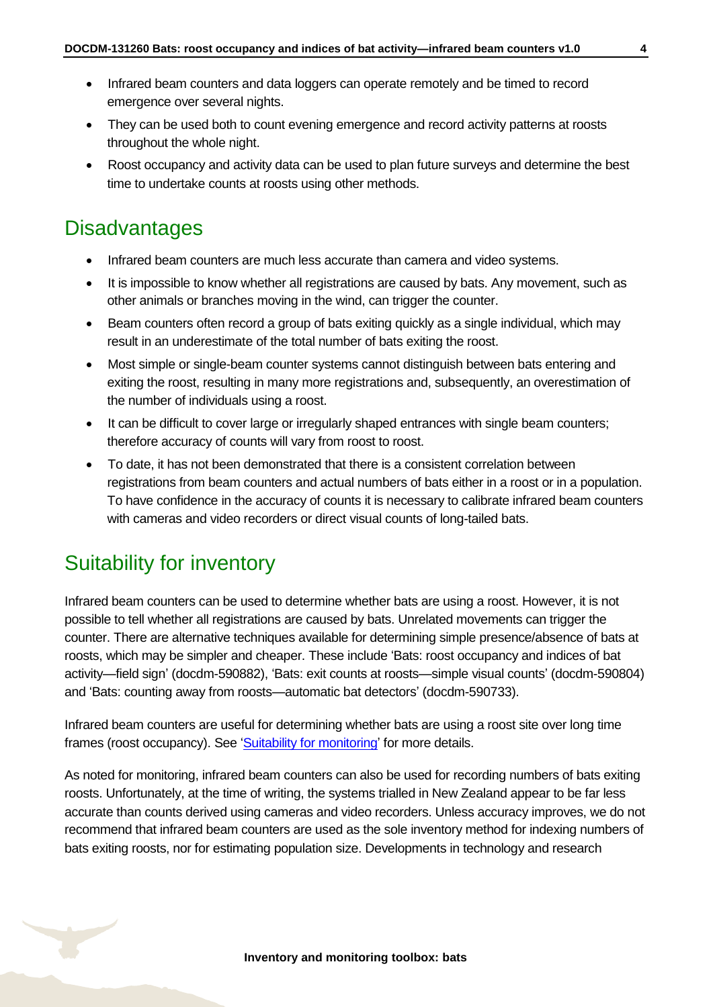- Infrared beam counters and data loggers can operate remotely and be timed to record emergence over several nights.
- They can be used both to count evening emergence and record activity patterns at roosts throughout the whole night.
- Roost occupancy and activity data can be used to plan future surveys and determine the best time to undertake counts at roosts using other methods.

### <span id="page-3-0"></span>**Disadvantages**

- Infrared beam counters are much less accurate than camera and video systems.
- It is impossible to know whether all registrations are caused by bats. Any movement, such as other animals or branches moving in the wind, can trigger the counter.
- Beam counters often record a group of bats exiting quickly as a single individual, which may result in an underestimate of the total number of bats exiting the roost.
- Most simple or single-beam counter systems cannot distinguish between bats entering and exiting the roost, resulting in many more registrations and, subsequently, an overestimation of the number of individuals using a roost.
- It can be difficult to cover large or irregularly shaped entrances with single beam counters; therefore accuracy of counts will vary from roost to roost.
- To date, it has not been demonstrated that there is a consistent correlation between registrations from beam counters and actual numbers of bats either in a roost or in a population. To have confidence in the accuracy of counts it is necessary to calibrate infrared beam counters with cameras and video recorders or direct visual counts of long-tailed bats.

## <span id="page-3-1"></span>Suitability for inventory

Infrared beam counters can be used to determine whether bats are using a roost. However, it is not possible to tell whether all registrations are caused by bats. Unrelated movements can trigger the counter. There are alternative techniques available for determining simple presence/absence of bats at roosts, which may be simpler and cheaper. These include 'Bats: roost occupancy and indices of bat activity—field sign' (docdm-590882), 'Bats: exit counts at roosts—simple visual counts' (docdm-590804) and 'Bats: counting away from roosts—automatic bat detectors' (docdm-590733).

Infrared beam counters are useful for determining whether bats are using a roost site over long time frames (roost occupancy). See ['Suitability for monitoring'](#page-4-0) for more details.

As noted for monitoring, infrared beam counters can also be used for recording numbers of bats exiting roosts. Unfortunately, at the time of writing, the systems trialled in New Zealand appear to be far less accurate than counts derived using cameras and video recorders. Unless accuracy improves, we do not recommend that infrared beam counters are used as the sole inventory method for indexing numbers of bats exiting roosts, nor for estimating population size. Developments in technology and research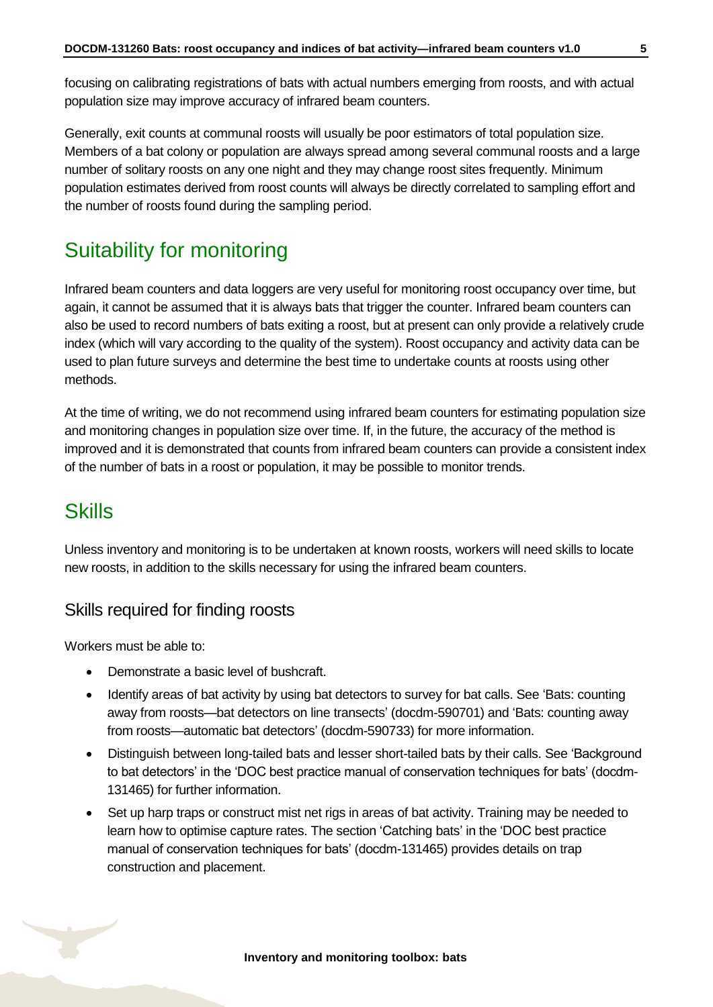Generally, exit counts at communal roosts will usually be poor estimators of total population size. Members of a bat colony or population are always spread among several communal roosts and a large number of solitary roosts on any one night and they may change roost sites frequently. Minimum population estimates derived from roost counts will always be directly correlated to sampling effort and the number of roosts found during the sampling period.

# <span id="page-4-0"></span>Suitability for monitoring

Infrared beam counters and data loggers are very useful for monitoring roost occupancy over time, but again, it cannot be assumed that it is always bats that trigger the counter. Infrared beam counters can also be used to record numbers of bats exiting a roost, but at present can only provide a relatively crude index (which will vary according to the quality of the system). Roost occupancy and activity data can be used to plan future surveys and determine the best time to undertake counts at roosts using other methods.

At the time of writing, we do not recommend using infrared beam counters for estimating population size and monitoring changes in population size over time. If, in the future, the accuracy of the method is improved and it is demonstrated that counts from infrared beam counters can provide a consistent index of the number of bats in a roost or population, it may be possible to monitor trends.

## <span id="page-4-1"></span>**Skills**

Unless inventory and monitoring is to be undertaken at known roosts, workers will need skills to locate new roosts, in addition to the skills necessary for using the infrared beam counters.

### Skills required for finding roosts

Workers must be able to:

- Demonstrate a basic level of bushcraft.
- Identify areas of bat activity by using bat detectors to survey for bat calls. See 'Bats: counting away from roosts—bat detectors on line transects' (docdm-590701) and 'Bats: counting away from roosts—automatic bat detectors' (docdm-590733) for more information.
- Distinguish between long-tailed bats and lesser short-tailed bats by their calls. See 'Background to bat detectors' in the 'DOC best practice manual of conservation techniques for bats' (docdm-131465) for further information.
- Set up harp traps or construct mist net rigs in areas of bat activity. Training may be needed to learn how to optimise capture rates. The section 'Catching bats' in the 'DOC best practice manual of conservation techniques for bats' (docdm-131465) provides details on trap construction and placement.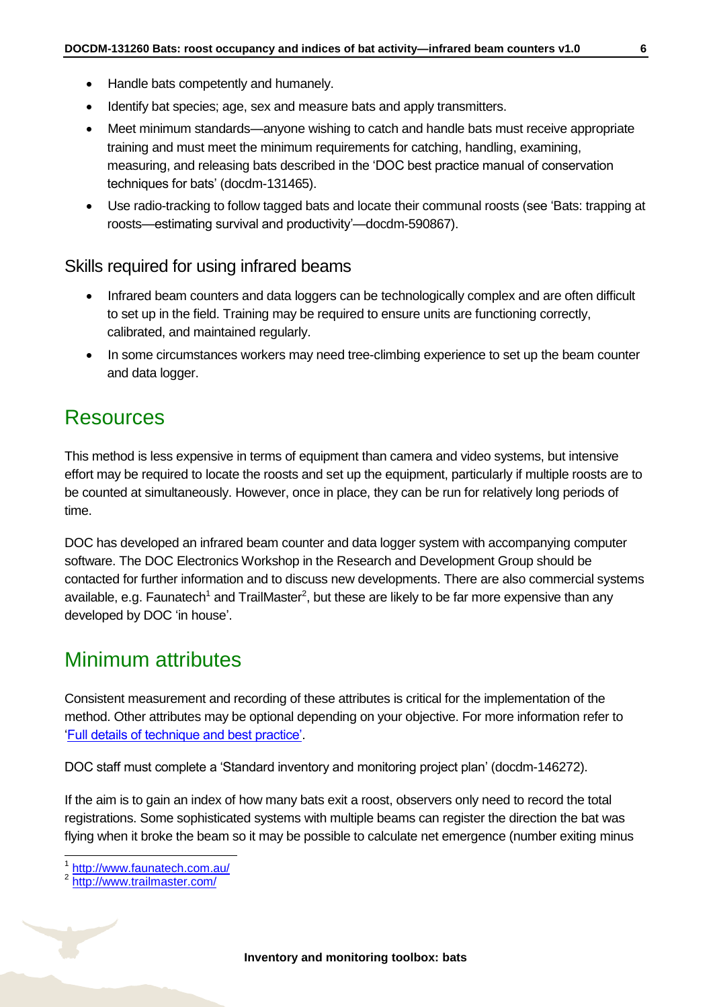- Handle bats competently and humanely.
- Identify bat species; age, sex and measure bats and apply transmitters.
- Meet minimum standards—anyone wishing to catch and handle bats must receive appropriate training and must meet the minimum requirements for catching, handling, examining, measuring, and releasing bats described in the 'DOC best practice manual of conservation techniques for bats' (docdm-131465).
- Use radio-tracking to follow tagged bats and locate their communal roosts (see 'Bats: trapping at roosts—estimating survival and productivity'—docdm-590867).

#### Skills required for using infrared beams

- Infrared beam counters and data loggers can be technologically complex and are often difficult to set up in the field. Training may be required to ensure units are functioning correctly, calibrated, and maintained regularly.
- In some circumstances workers may need tree-climbing experience to set up the beam counter and data logger.

### <span id="page-5-0"></span>**Resources**

This method is less expensive in terms of equipment than camera and video systems, but intensive effort may be required to locate the roosts and set up the equipment, particularly if multiple roosts are to be counted at simultaneously. However, once in place, they can be run for relatively long periods of time.

DOC has developed an infrared beam counter and data logger system with accompanying computer software. The DOC Electronics Workshop in the Research and Development Group should be contacted for further information and to discuss new developments. There are also commercial systems available, e.g. Faunatech<sup>1</sup> and TrailMaster<sup>2</sup>, but these are likely to be far more expensive than any developed by DOC 'in house'.

### <span id="page-5-1"></span>Minimum attributes

Consistent measurement and recording of these attributes is critical for the implementation of the method. Other attributes may be optional depending on your objective. For more information refer to ['Full details of technique and best practice'.](#page-12-0)

DOC staff must complete a 'Standard inventory and monitoring project plan' (docdm-146272).

If the aim is to gain an index of how many bats exit a roost, observers only need to record the total registrations. Some sophisticated systems with multiple beams can register the direction the bat was flying when it broke the beam so it may be possible to calculate net emergence (number exiting minus

 $\overline{1}$ 

<sup>1</sup> <http://www.faunatech.com.au/>

<sup>2</sup> <http://www.trailmaster.com/>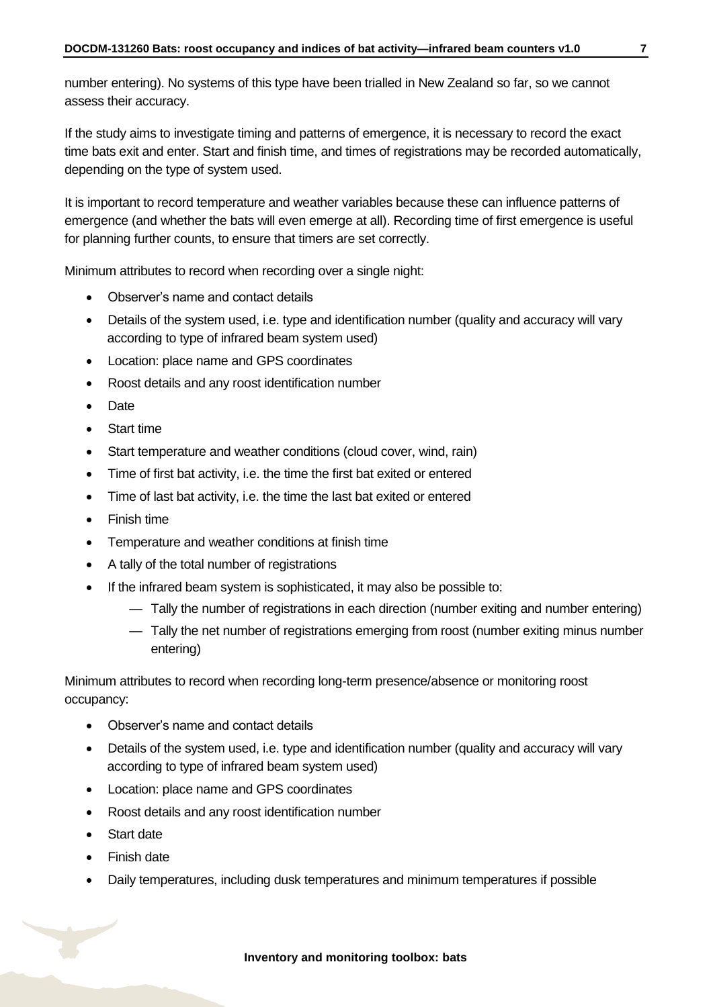number entering). No systems of this type have been trialled in New Zealand so far, so we cannot assess their accuracy.

If the study aims to investigate timing and patterns of emergence, it is necessary to record the exact time bats exit and enter. Start and finish time, and times of registrations may be recorded automatically, depending on the type of system used.

It is important to record temperature and weather variables because these can influence patterns of emergence (and whether the bats will even emerge at all). Recording time of first emergence is useful for planning further counts, to ensure that timers are set correctly.

Minimum attributes to record when recording over a single night:

- Observer's name and contact details
- Details of the system used, i.e. type and identification number (quality and accuracy will vary according to type of infrared beam system used)
- Location: place name and GPS coordinates
- Roost details and any roost identification number
- Date
- Start time
- Start temperature and weather conditions (cloud cover, wind, rain)
- Time of first bat activity, i.e. the time the first bat exited or entered
- Time of last bat activity, i.e. the time the last bat exited or entered
- Finish time
- Temperature and weather conditions at finish time
- A tally of the total number of registrations
- If the infrared beam system is sophisticated, it may also be possible to:
	- Tally the number of registrations in each direction (number exiting and number entering)
	- Tally the net number of registrations emerging from roost (number exiting minus number entering)

Minimum attributes to record when recording long-term presence/absence or monitoring roost occupancy:

- Observer's name and contact details
- Details of the system used, i.e. type and identification number (quality and accuracy will vary according to type of infrared beam system used)
- Location: place name and GPS coordinates
- Roost details and any roost identification number
- Start date
- Finish date
- Daily temperatures, including dusk temperatures and minimum temperatures if possible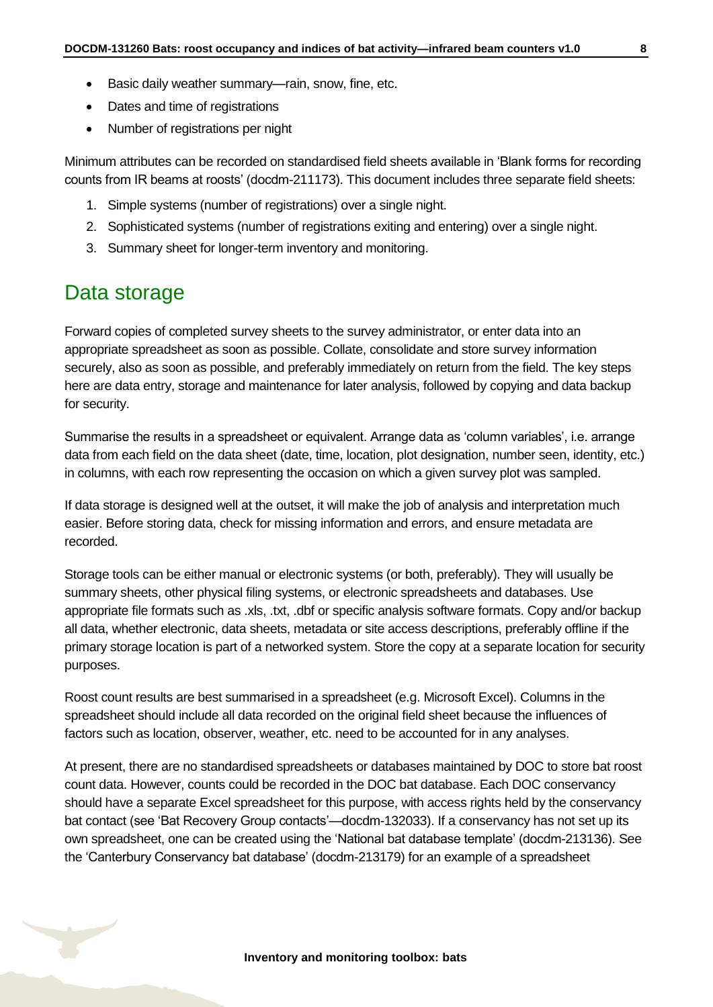- Basic daily weather summary—rain, snow, fine, etc.
- Dates and time of registrations
- Number of registrations per night

Minimum attributes can be recorded on standardised field sheets available in 'Blank forms for recording counts from IR beams at roosts' (docdm-211173). This document includes three separate field sheets:

- 1. Simple systems (number of registrations) over a single night.
- 2. Sophisticated systems (number of registrations exiting and entering) over a single night.
- 3. Summary sheet for longer-term inventory and monitoring.

### <span id="page-7-0"></span>Data storage

Forward copies of completed survey sheets to the survey administrator, or enter data into an appropriate spreadsheet as soon as possible. Collate, consolidate and store survey information securely, also as soon as possible, and preferably immediately on return from the field. The key steps here are data entry, storage and maintenance for later analysis, followed by copying and data backup for security.

Summarise the results in a spreadsheet or equivalent. Arrange data as 'column variables', i.e. arrange data from each field on the data sheet (date, time, location, plot designation, number seen, identity, etc.) in columns, with each row representing the occasion on which a given survey plot was sampled.

If data storage is designed well at the outset, it will make the job of analysis and interpretation much easier. Before storing data, check for missing information and errors, and ensure metadata are recorded.

Storage tools can be either manual or electronic systems (or both, preferably). They will usually be summary sheets, other physical filing systems, or electronic spreadsheets and databases. Use appropriate file formats such as .xls, .txt, .dbf or specific analysis software formats. Copy and/or backup all data, whether electronic, data sheets, metadata or site access descriptions, preferably offline if the primary storage location is part of a networked system. Store the copy at a separate location for security purposes.

Roost count results are best summarised in a spreadsheet (e.g. Microsoft Excel). Columns in the spreadsheet should include all data recorded on the original field sheet because the influences of factors such as location, observer, weather, etc. need to be accounted for in any analyses.

At present, there are no standardised spreadsheets or databases maintained by DOC to store bat roost count data. However, counts could be recorded in the DOC bat database. Each DOC conservancy should have a separate Excel spreadsheet for this purpose, with access rights held by the conservancy bat contact (see 'Bat Recovery Group contacts'—docdm-132033). If a conservancy has not set up its own spreadsheet, one can be created using the 'National bat database template' (docdm-213136). See the 'Canterbury Conservancy bat database' (docdm-213179) for an example of a spreadsheet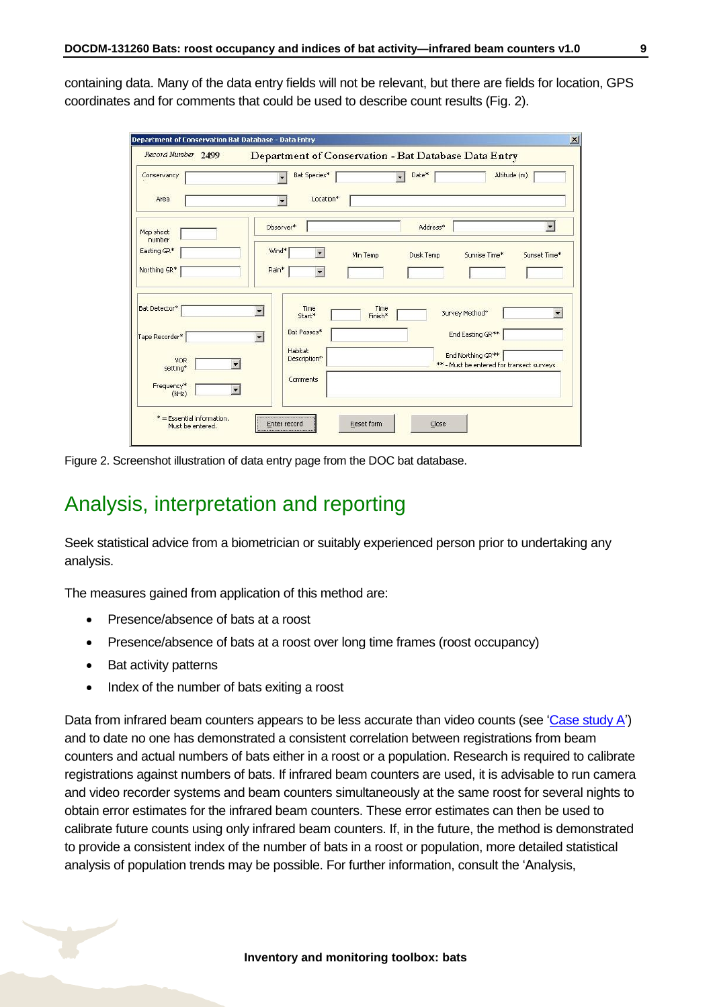containing data. Many of the data entry fields will not be relevant, but there are fields for location, GPS coordinates and for comments that could be used to describe count results (Fig. 2).

|                        |                                            | Department of Conservation - Bat Database Data Entry |                                                                |                          |
|------------------------|--------------------------------------------|------------------------------------------------------|----------------------------------------------------------------|--------------------------|
| Conservancy            | Bat Species*                               | Date*<br>$\overline{\phantom{0}}$                    | Altitude (m)                                                   |                          |
| Area                   | Location*                                  |                                                      |                                                                |                          |
| Map sheet<br>number    | Observer*                                  | Address*                                             |                                                                | $\overline{\phantom{0}}$ |
| Easting GR*            | Wind*<br>÷                                 | Dusk Temp<br>Min Temp                                | Sunrise Time*                                                  | Sunset Time*             |
| Northing GR*           | Rain*<br>$\overline{\phantom{a}}$          |                                                      |                                                                |                          |
| Bat Detector*          | Time<br>$\overline{\phantom{a}}$<br>Start* | Time<br>Finish*                                      | Survey Method*                                                 | $\blacksquare$           |
| Tape Recorder*         | Bat Passes*<br>$\overline{\phantom{a}}$    |                                                      | End Easting GR**                                               |                          |
| <b>VOR</b><br>setting* | Habitat<br>Description*                    |                                                      | End Northing GR**<br>** - Must be entered for transect surveys |                          |
| Frequency*<br>(kHz)    | Comments                                   |                                                      |                                                                |                          |

Figure 2. Screenshot illustration of data entry page from the DOC bat database.

## <span id="page-8-0"></span>Analysis, interpretation and reporting

Seek statistical advice from a biometrician or suitably experienced person prior to undertaking any analysis.

The measures gained from application of this method are:

- Presence/absence of bats at a roost
- Presence/absence of bats at a roost over long time frames (roost occupancy)
- Bat activity patterns
- Index of the number of bats exiting a roost

Data from infrared beam counters appears to be less accurate than video counts (see ['Case study](#page-9-0) A') and to date no one has demonstrated a consistent correlation between registrations from beam counters and actual numbers of bats either in a roost or a population. Research is required to calibrate registrations against numbers of bats. If infrared beam counters are used, it is advisable to run camera and video recorder systems and beam counters simultaneously at the same roost for several nights to obtain error estimates for the infrared beam counters. These error estimates can then be used to calibrate future counts using only infrared beam counters. If, in the future, the method is demonstrated to provide a consistent index of the number of bats in a roost or population, more detailed statistical analysis of population trends may be possible. For further information, consult the 'Analysis,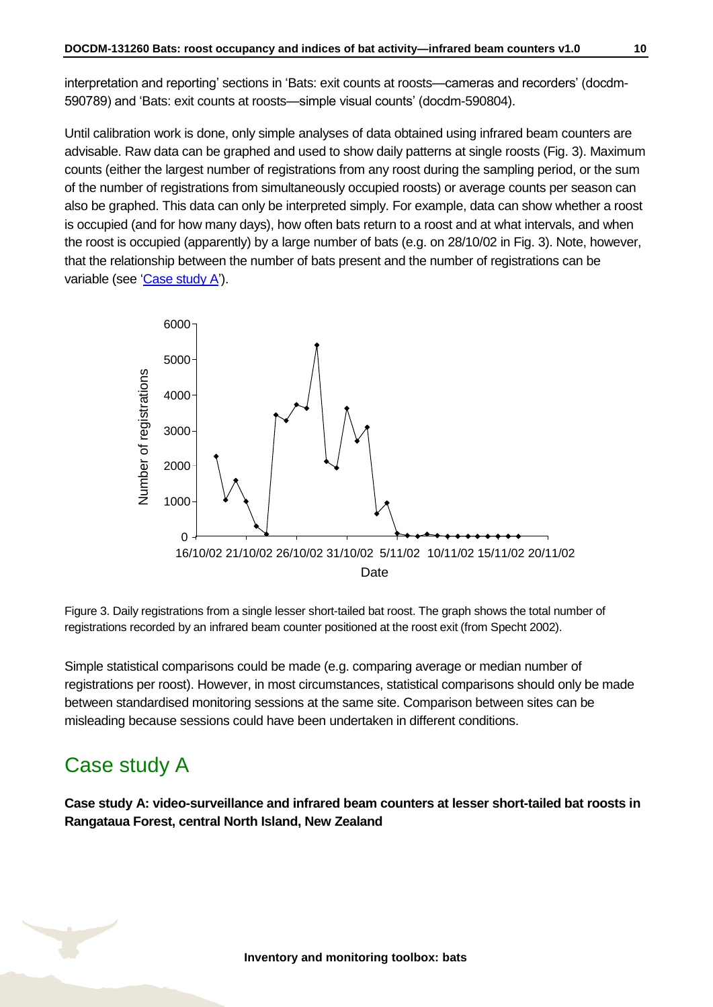interpretation and reporting' sections in 'Bats: exit counts at roosts—cameras and recorders' (docdm-590789) and 'Bats: exit counts at roosts—simple visual counts' (docdm-590804).

Until calibration work is done, only simple analyses of data obtained using infrared beam counters are advisable. Raw data can be graphed and used to show daily patterns at single roosts (Fig. 3). Maximum counts (either the largest number of registrations from any roost during the sampling period, or the sum of the number of registrations from simultaneously occupied roosts) or average counts per season can also be graphed. This data can only be interpreted simply. For example, data can show whether a roost is occupied (and for how many days), how often bats return to a roost and at what intervals, and when the roost is occupied (apparently) by a large number of bats (e.g. on 28/10/02 in Fig. 3). Note, however, that the relationship between the number of bats present and the number of registrations can be variable (see ['Case study](#page-9-0) A').



Figure 3. Daily registrations from a single lesser short-tailed bat roost. The graph shows the total number of registrations recorded by an infrared beam counter positioned at the roost exit (from Specht 2002).

Simple statistical comparisons could be made (e.g. comparing average or median number of registrations per roost). However, in most circumstances, statistical comparisons should only be made between standardised monitoring sessions at the same site. Comparison between sites can be misleading because sessions could have been undertaken in different conditions.

### <span id="page-9-0"></span>Case study A

**Case study A: video-surveillance and infrared beam counters at lesser short-tailed bat roosts in Rangataua Forest, central North Island, New Zealand**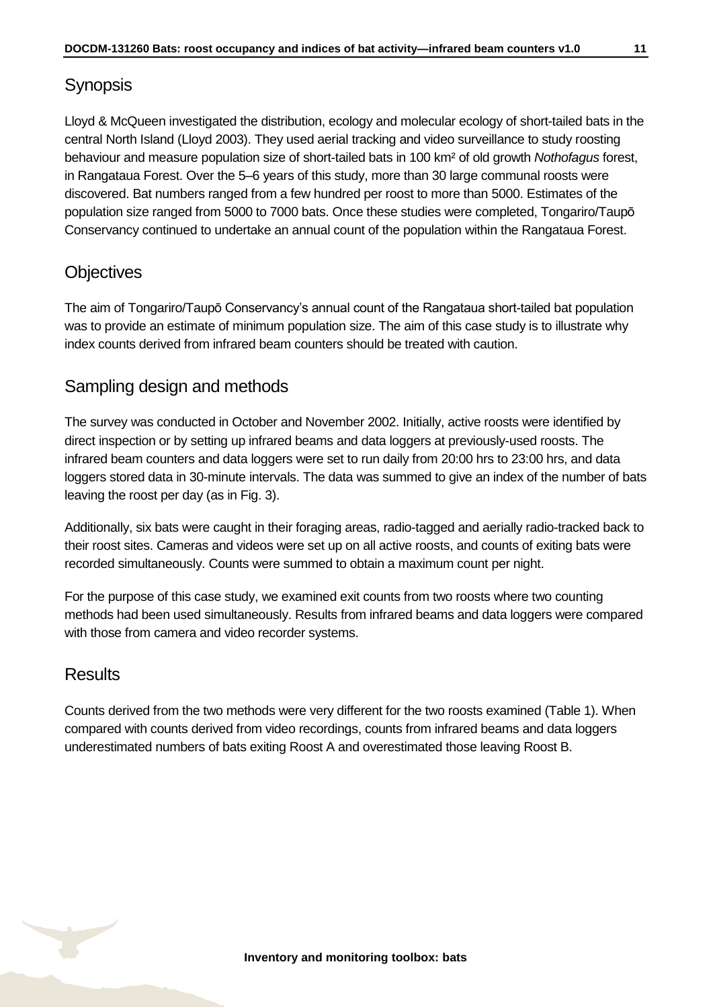#### Synopsis

Lloyd & McQueen investigated the distribution, ecology and molecular ecology of short-tailed bats in the central North Island (Lloyd 2003). They used aerial tracking and video surveillance to study roosting behaviour and measure population size of short-tailed bats in 100 km² of old growth *Nothofagus* forest, in Rangataua Forest. Over the 5–6 years of this study, more than 30 large communal roosts were discovered. Bat numbers ranged from a few hundred per roost to more than 5000. Estimates of the population size ranged from 5000 to 7000 bats. Once these studies were completed, Tongariro/Taupō Conservancy continued to undertake an annual count of the population within the Rangataua Forest.

#### **Objectives**

The aim of Tongariro/Taupō Conservancy's annual count of the Rangataua short-tailed bat population was to provide an estimate of minimum population size. The aim of this case study is to illustrate why index counts derived from infrared beam counters should be treated with caution.

#### Sampling design and methods

The survey was conducted in October and November 2002. Initially, active roosts were identified by direct inspection or by setting up infrared beams and data loggers at previously-used roosts. The infrared beam counters and data loggers were set to run daily from 20:00 hrs to 23:00 hrs, and data loggers stored data in 30-minute intervals. The data was summed to give an index of the number of bats leaving the roost per day (as in Fig. 3).

Additionally, six bats were caught in their foraging areas, radio-tagged and aerially radio-tracked back to their roost sites. Cameras and videos were set up on all active roosts, and counts of exiting bats were recorded simultaneously. Counts were summed to obtain a maximum count per night.

For the purpose of this case study, we examined exit counts from two roosts where two counting methods had been used simultaneously. Results from infrared beams and data loggers were compared with those from camera and video recorder systems.

#### **Results**

Counts derived from the two methods were very different for the two roosts examined (Table 1). When compared with counts derived from video recordings, counts from infrared beams and data loggers underestimated numbers of bats exiting Roost A and overestimated those leaving Roost B.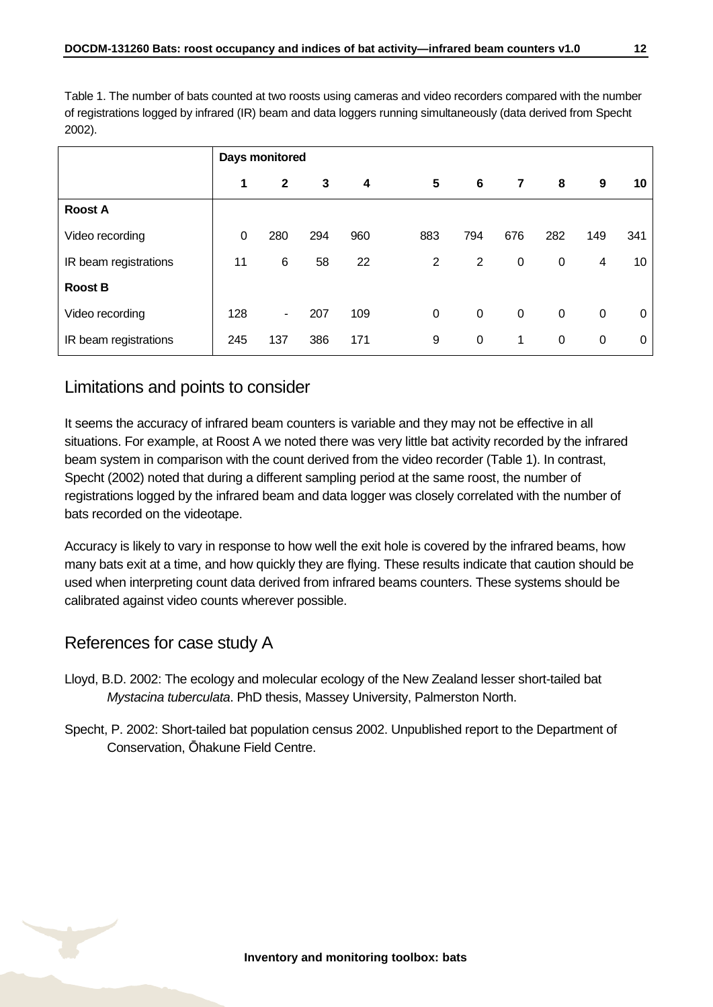Table 1. The number of bats counted at two roosts using cameras and video recorders compared with the number of registrations logged by infrared (IR) beam and data loggers running simultaneously (data derived from Specht 2002).

|                       | Days monitored |                |     |     |     |                |             |             |             |     |
|-----------------------|----------------|----------------|-----|-----|-----|----------------|-------------|-------------|-------------|-----|
|                       | 1              | $\mathbf{2}$   | 3   | 4   | 5   | 6              | 7           | 8           | 9           | 10  |
| <b>Roost A</b>        |                |                |     |     |     |                |             |             |             |     |
| Video recording       | 0              | 280            | 294 | 960 | 883 | 794            | 676         | 282         | 149         | 341 |
| IR beam registrations | 11             | 6              | 58  | 22  | 2   | $\overline{2}$ | 0           | $\mathbf 0$ | 4           | 10  |
| <b>Roost B</b>        |                |                |     |     |     |                |             |             |             |     |
| Video recording       | 128            | $\blacksquare$ | 207 | 109 | 0   | 0              | $\mathbf 0$ | 0           | 0           | 0   |
| IR beam registrations | 245            | 137            | 386 | 171 | 9   | 0              | 1           | 0           | $\mathbf 0$ | 0   |

#### Limitations and points to consider

It seems the accuracy of infrared beam counters is variable and they may not be effective in all situations. For example, at Roost A we noted there was very little bat activity recorded by the infrared beam system in comparison with the count derived from the video recorder (Table 1). In contrast, Specht (2002) noted that during a different sampling period at the same roost, the number of registrations logged by the infrared beam and data logger was closely correlated with the number of bats recorded on the videotape.

Accuracy is likely to vary in response to how well the exit hole is covered by the infrared beams, how many bats exit at a time, and how quickly they are flying. These results indicate that caution should be used when interpreting count data derived from infrared beams counters. These systems should be calibrated against video counts wherever possible.

#### References for case study A

- Lloyd, B.D. 2002: The ecology and molecular ecology of the New Zealand lesser short-tailed bat *Mystacina tuberculata*. PhD thesis, Massey University, Palmerston North.
- Specht, P. 2002: Short-tailed bat population census 2002. Unpublished report to the Department of Conservation, Ōhakune Field Centre.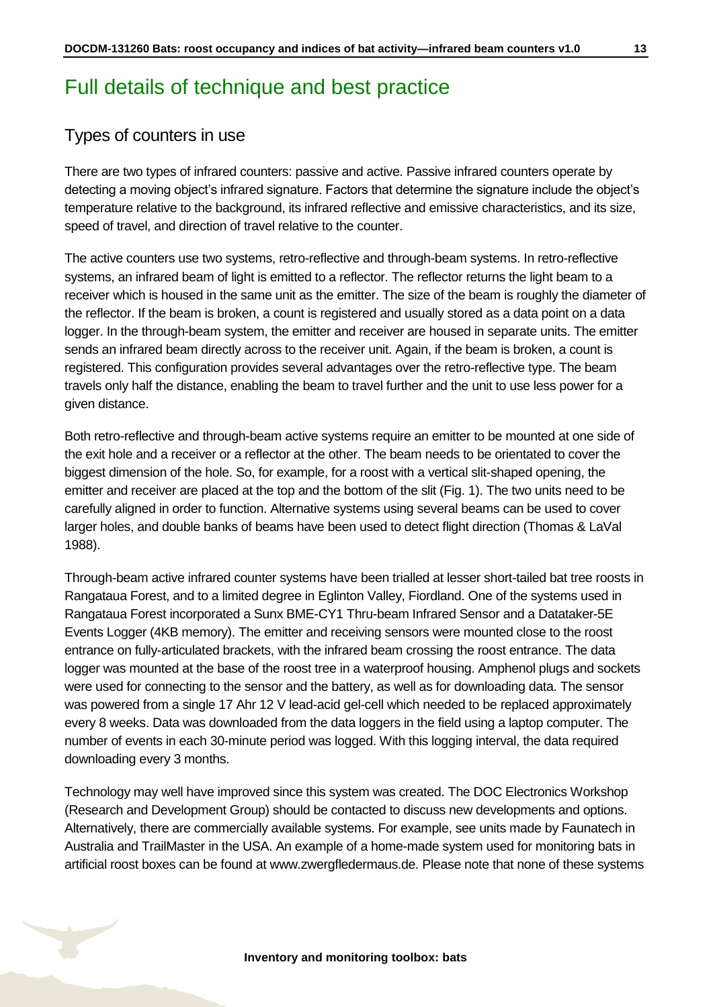### <span id="page-12-0"></span>Full details of technique and best practice

#### Types of counters in use

There are two types of infrared counters: passive and active. Passive infrared counters operate by detecting a moving object's infrared signature. Factors that determine the signature include the object's temperature relative to the background, its infrared reflective and emissive characteristics, and its size, speed of travel, and direction of travel relative to the counter.

The active counters use two systems, retro-reflective and through-beam systems. In retro-reflective systems, an infrared beam of light is emitted to a reflector. The reflector returns the light beam to a receiver which is housed in the same unit as the emitter. The size of the beam is roughly the diameter of the reflector. If the beam is broken, a count is registered and usually stored as a data point on a data logger. In the through-beam system, the emitter and receiver are housed in separate units. The emitter sends an infrared beam directly across to the receiver unit. Again, if the beam is broken, a count is registered. This configuration provides several advantages over the retro-reflective type. The beam travels only half the distance, enabling the beam to travel further and the unit to use less power for a given distance.

Both retro-reflective and through-beam active systems require an emitter to be mounted at one side of the exit hole and a receiver or a reflector at the other. The beam needs to be orientated to cover the biggest dimension of the hole. So, for example, for a roost with a vertical slit-shaped opening, the emitter and receiver are placed at the top and the bottom of the slit (Fig. 1). The two units need to be carefully aligned in order to function. Alternative systems using several beams can be used to cover larger holes, and double banks of beams have been used to detect flight direction (Thomas & LaVal 1988).

Through-beam active infrared counter systems have been trialled at lesser short-tailed bat tree roosts in Rangataua Forest, and to a limited degree in Eglinton Valley, Fiordland. One of the systems used in Rangataua Forest incorporated a Sunx BME-CY1 Thru-beam Infrared Sensor and a Datataker-5E Events Logger (4KB memory). The emitter and receiving sensors were mounted close to the roost entrance on fully-articulated brackets, with the infrared beam crossing the roost entrance. The data logger was mounted at the base of the roost tree in a waterproof housing. Amphenol plugs and sockets were used for connecting to the sensor and the battery, as well as for downloading data. The sensor was powered from a single 17 Ahr 12 V lead-acid gel-cell which needed to be replaced approximately every 8 weeks. Data was downloaded from the data loggers in the field using a laptop computer. The number of events in each 30-minute period was logged. With this logging interval, the data required downloading every 3 months.

Technology may well have improved since this system was created. The DOC Electronics Workshop (Research and Development Group) should be contacted to discuss new developments and options. Alternatively, there are commercially available systems. For example, see units made by [Faunatech](http://www.faunatech.com.au/) in Australia and [TrailMaster](http://www.trailmaster.com/) in the USA. An example of a home-made system used for monitoring bats in artificial roost boxes can be found at www.zwergfledermaus.de. Please note that none of these systems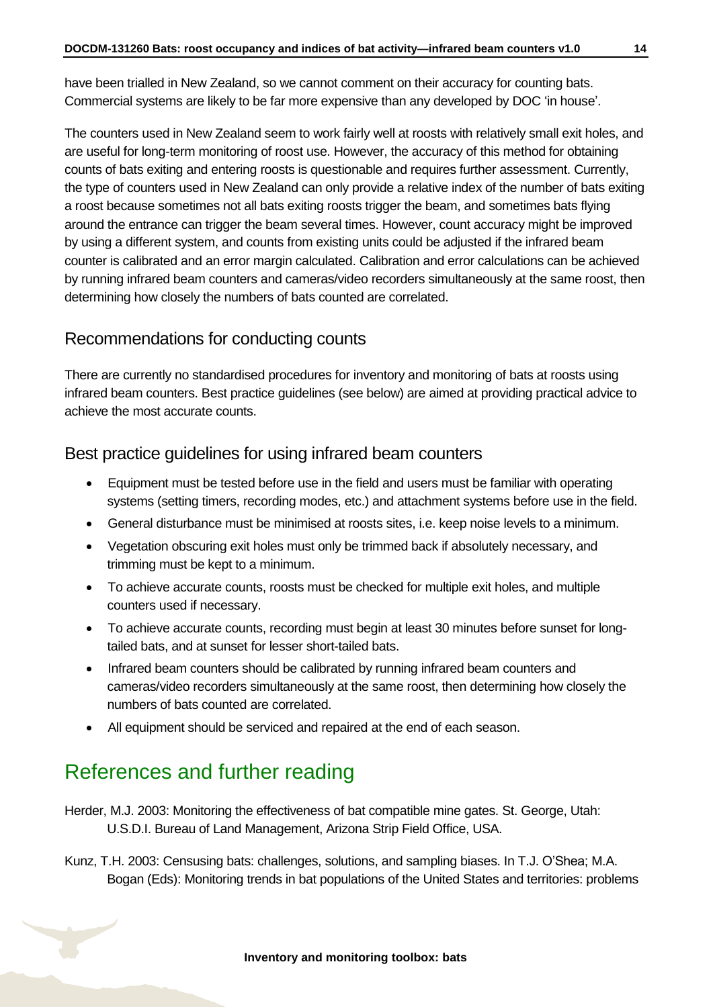have been trialled in New Zealand, so we cannot comment on their accuracy for counting bats. Commercial systems are likely to be far more expensive than any developed by DOC 'in house'.

The counters used in New Zealand seem to work fairly well at roosts with relatively small exit holes, and are useful for long-term monitoring of roost use. However, the accuracy of this method for obtaining counts of bats exiting and entering roosts is questionable and requires further assessment. Currently, the type of counters used in New Zealand can only provide a relative index of the number of bats exiting a roost because sometimes not all bats exiting roosts trigger the beam, and sometimes bats flying around the entrance can trigger the beam several times. However, count accuracy might be improved by using a different system, and counts from existing units could be adjusted if the infrared beam counter is calibrated and an error margin calculated. Calibration and error calculations can be achieved by running infrared beam counters and cameras/video recorders simultaneously at the same roost, then determining how closely the numbers of bats counted are correlated.

#### Recommendations for conducting counts

There are currently no standardised procedures for inventory and monitoring of bats at roosts using infrared beam counters. Best practice guidelines (see below) are aimed at providing practical advice to achieve the most accurate counts.

#### Best practice guidelines for using infrared beam counters

- Equipment must be tested before use in the field and users must be familiar with operating systems (setting timers, recording modes, etc.) and attachment systems before use in the field.
- General disturbance must be minimised at roosts sites, i.e. keep noise levels to a minimum.
- Vegetation obscuring exit holes must only be trimmed back if absolutely necessary, and trimming must be kept to a minimum.
- To achieve accurate counts, roosts must be checked for multiple exit holes, and multiple counters used if necessary.
- To achieve accurate counts, recording must begin at least 30 minutes before sunset for longtailed bats, and at sunset for lesser short-tailed bats.
- Infrared beam counters should be calibrated by running infrared beam counters and cameras/video recorders simultaneously at the same roost, then determining how closely the numbers of bats counted are correlated.
- All equipment should be serviced and repaired at the end of each season.

### <span id="page-13-0"></span>References and further reading

Herder, M.J. 2003: Monitoring the effectiveness of bat compatible mine gates. St. George, Utah: U.S.D.I. Bureau of Land Management, Arizona Strip Field Office, USA.

Kunz, T.H. 2003: Censusing bats: challenges, solutions, and sampling biases. In T.J. O'Shea; M.A. Bogan (Eds): Monitoring trends in bat populations of the United States and territories: problems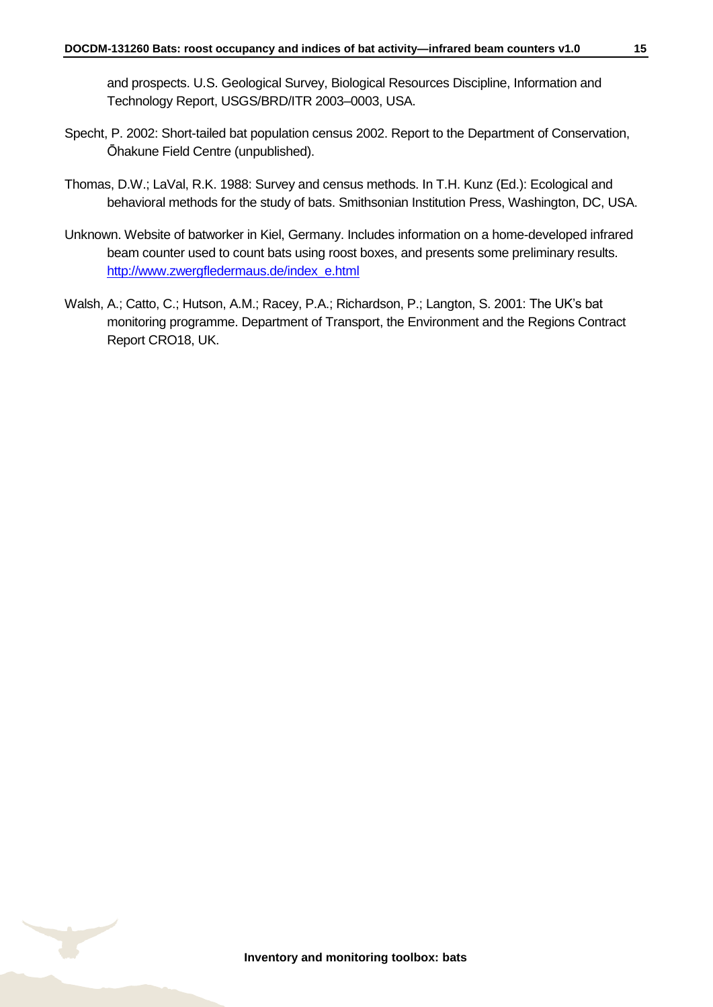and prospects. U.S. Geological Survey, Biological Resources Discipline, Information and Technology Report, USGS/BRD/ITR 2003–0003, USA.

- Specht, P. 2002: Short-tailed bat population census 2002. Report to the Department of Conservation, Ōhakune Field Centre (unpublished).
- Thomas, D.W.; LaVal, R.K. 1988: Survey and census methods. In T.H. Kunz (Ed.): Ecological and behavioral methods for the study of bats. Smithsonian Institution Press, Washington, DC, USA.
- Unknown. Website of batworker in Kiel, Germany. Includes information on a home-developed infrared beam counter used to count bats using roost boxes, and presents some preliminary results. [http://www.zwergfledermaus.de/index\\_e.html](http://www.zwergfledermaus.de/index_e.html)
- Walsh, A.; Catto, C.; Hutson, A.M.; Racey, P.A.; Richardson, P.; Langton, S. 2001: The UK's bat monitoring programme. Department of Transport, the Environment and the Regions Contract Report CRO18, UK.